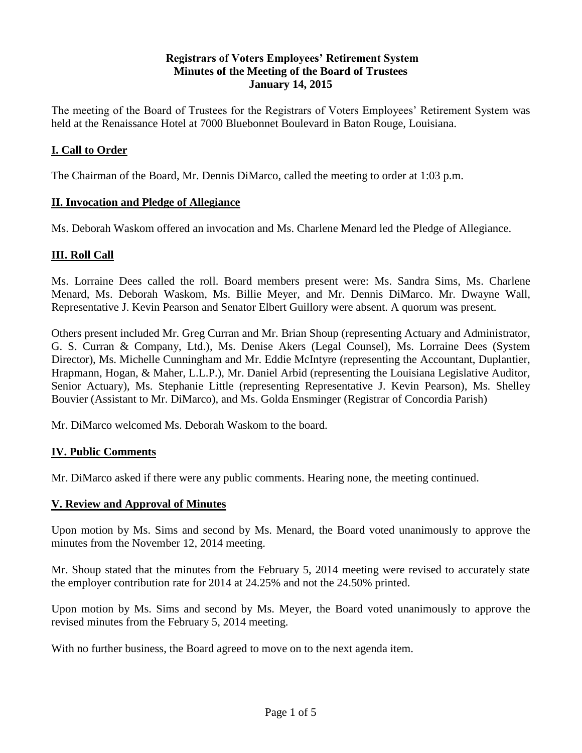## **Registrars of Voters Employees' Retirement System Minutes of the Meeting of the Board of Trustees January 14, 2015**

The meeting of the Board of Trustees for the Registrars of Voters Employees' Retirement System was held at the Renaissance Hotel at 7000 Bluebonnet Boulevard in Baton Rouge, Louisiana.

## **I. Call to Order**

The Chairman of the Board, Mr. Dennis DiMarco, called the meeting to order at 1:03 p.m.

## **II. Invocation and Pledge of Allegiance**

Ms. Deborah Waskom offered an invocation and Ms. Charlene Menard led the Pledge of Allegiance.

# **III. Roll Call**

Ms. Lorraine Dees called the roll. Board members present were: Ms. Sandra Sims, Ms. Charlene Menard, Ms. Deborah Waskom, Ms. Billie Meyer, and Mr. Dennis DiMarco. Mr. Dwayne Wall, Representative J. Kevin Pearson and Senator Elbert Guillory were absent. A quorum was present.

Others present included Mr. Greg Curran and Mr. Brian Shoup (representing Actuary and Administrator, G. S. Curran & Company, Ltd.), Ms. Denise Akers (Legal Counsel), Ms. Lorraine Dees (System Director), Ms. Michelle Cunningham and Mr. Eddie McIntyre (representing the Accountant, Duplantier, Hrapmann, Hogan, & Maher, L.L.P.), Mr. Daniel Arbid (representing the Louisiana Legislative Auditor, Senior Actuary), Ms. Stephanie Little (representing Representative J. Kevin Pearson), Ms. Shelley Bouvier (Assistant to Mr. DiMarco), and Ms. Golda Ensminger (Registrar of Concordia Parish)

Mr. DiMarco welcomed Ms. Deborah Waskom to the board.

## **IV. Public Comments**

Mr. DiMarco asked if there were any public comments. Hearing none, the meeting continued.

#### **V. Review and Approval of Minutes**

Upon motion by Ms. Sims and second by Ms. Menard, the Board voted unanimously to approve the minutes from the November 12, 2014 meeting.

Mr. Shoup stated that the minutes from the February 5, 2014 meeting were revised to accurately state the employer contribution rate for 2014 at 24.25% and not the 24.50% printed.

Upon motion by Ms. Sims and second by Ms. Meyer, the Board voted unanimously to approve the revised minutes from the February 5, 2014 meeting.

With no further business, the Board agreed to move on to the next agenda item.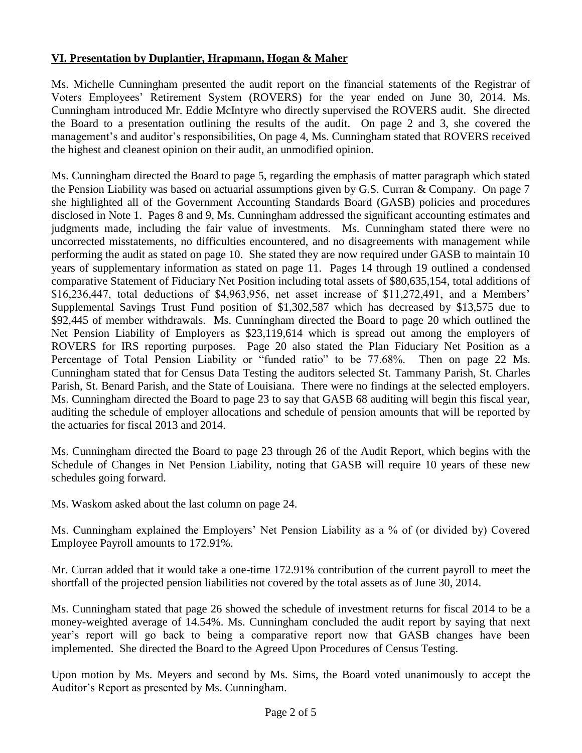# **VI. Presentation by Duplantier, Hrapmann, Hogan & Maher**

Ms. Michelle Cunningham presented the audit report on the financial statements of the Registrar of Voters Employees' Retirement System (ROVERS) for the year ended on June 30, 2014. Ms. Cunningham introduced Mr. Eddie McIntyre who directly supervised the ROVERS audit. She directed the Board to a presentation outlining the results of the audit. On page 2 and 3, she covered the management's and auditor's responsibilities, On page 4, Ms. Cunningham stated that ROVERS received the highest and cleanest opinion on their audit, an unmodified opinion.

Ms. Cunningham directed the Board to page 5, regarding the emphasis of matter paragraph which stated the Pension Liability was based on actuarial assumptions given by G.S. Curran & Company. On page 7 she highlighted all of the Government Accounting Standards Board (GASB) policies and procedures disclosed in Note 1. Pages 8 and 9, Ms. Cunningham addressed the significant accounting estimates and judgments made, including the fair value of investments. Ms. Cunningham stated there were no uncorrected misstatements, no difficulties encountered, and no disagreements with management while performing the audit as stated on page 10. She stated they are now required under GASB to maintain 10 years of supplementary information as stated on page 11. Pages 14 through 19 outlined a condensed comparative Statement of Fiduciary Net Position including total assets of \$80,635,154, total additions of \$16,236,447, total deductions of \$4,963,956, net asset increase of \$11,272,491, and a Members' Supplemental Savings Trust Fund position of \$1,302,587 which has decreased by \$13,575 due to \$92,445 of member withdrawals. Ms. Cunningham directed the Board to page 20 which outlined the Net Pension Liability of Employers as \$23,119,614 which is spread out among the employers of ROVERS for IRS reporting purposes. Page 20 also stated the Plan Fiduciary Net Position as a Percentage of Total Pension Liability or "funded ratio" to be 77.68%. Then on page 22 Ms. Cunningham stated that for Census Data Testing the auditors selected St. Tammany Parish, St. Charles Parish, St. Benard Parish, and the State of Louisiana. There were no findings at the selected employers. Ms. Cunningham directed the Board to page 23 to say that GASB 68 auditing will begin this fiscal year, auditing the schedule of employer allocations and schedule of pension amounts that will be reported by the actuaries for fiscal 2013 and 2014.

Ms. Cunningham directed the Board to page 23 through 26 of the Audit Report, which begins with the Schedule of Changes in Net Pension Liability, noting that GASB will require 10 years of these new schedules going forward.

Ms. Waskom asked about the last column on page 24.

Ms. Cunningham explained the Employers' Net Pension Liability as a % of (or divided by) Covered Employee Payroll amounts to 172.91%.

Mr. Curran added that it would take a one-time 172.91% contribution of the current payroll to meet the shortfall of the projected pension liabilities not covered by the total assets as of June 30, 2014.

Ms. Cunningham stated that page 26 showed the schedule of investment returns for fiscal 2014 to be a money-weighted average of 14.54%. Ms. Cunningham concluded the audit report by saying that next year's report will go back to being a comparative report now that GASB changes have been implemented. She directed the Board to the Agreed Upon Procedures of Census Testing.

Upon motion by Ms. Meyers and second by Ms. Sims, the Board voted unanimously to accept the Auditor's Report as presented by Ms. Cunningham.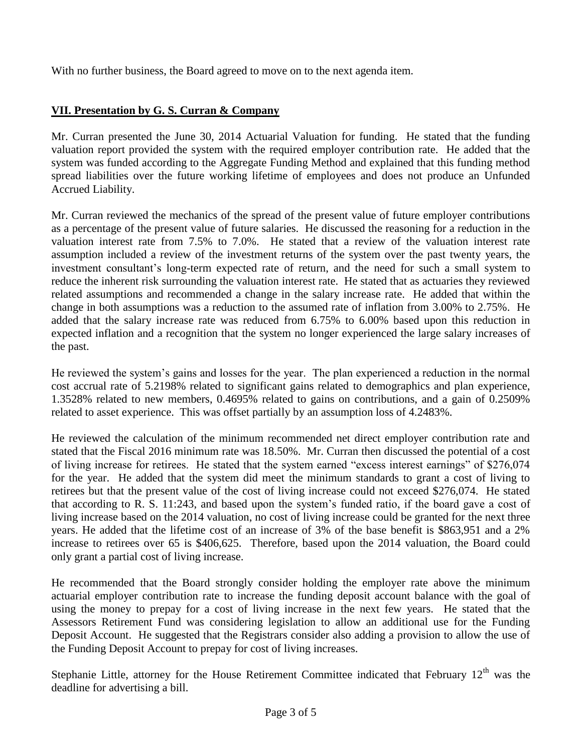With no further business, the Board agreed to move on to the next agenda item.

# **VII. Presentation by G. S. Curran & Company**

Mr. Curran presented the June 30, 2014 Actuarial Valuation for funding. He stated that the funding valuation report provided the system with the required employer contribution rate. He added that the system was funded according to the Aggregate Funding Method and explained that this funding method spread liabilities over the future working lifetime of employees and does not produce an Unfunded Accrued Liability.

Mr. Curran reviewed the mechanics of the spread of the present value of future employer contributions as a percentage of the present value of future salaries. He discussed the reasoning for a reduction in the valuation interest rate from 7.5% to 7.0%. He stated that a review of the valuation interest rate assumption included a review of the investment returns of the system over the past twenty years, the investment consultant's long-term expected rate of return, and the need for such a small system to reduce the inherent risk surrounding the valuation interest rate. He stated that as actuaries they reviewed related assumptions and recommended a change in the salary increase rate. He added that within the change in both assumptions was a reduction to the assumed rate of inflation from 3.00% to 2.75%. He added that the salary increase rate was reduced from 6.75% to 6.00% based upon this reduction in expected inflation and a recognition that the system no longer experienced the large salary increases of the past.

He reviewed the system's gains and losses for the year. The plan experienced a reduction in the normal cost accrual rate of 5.2198% related to significant gains related to demographics and plan experience, 1.3528% related to new members, 0.4695% related to gains on contributions, and a gain of 0.2509% related to asset experience. This was offset partially by an assumption loss of 4.2483%.

He reviewed the calculation of the minimum recommended net direct employer contribution rate and stated that the Fiscal 2016 minimum rate was 18.50%. Mr. Curran then discussed the potential of a cost of living increase for retirees. He stated that the system earned "excess interest earnings" of \$276,074 for the year. He added that the system did meet the minimum standards to grant a cost of living to retirees but that the present value of the cost of living increase could not exceed \$276,074. He stated that according to R. S. 11:243, and based upon the system's funded ratio, if the board gave a cost of living increase based on the 2014 valuation, no cost of living increase could be granted for the next three years. He added that the lifetime cost of an increase of 3% of the base benefit is \$863,951 and a 2% increase to retirees over 65 is \$406,625. Therefore, based upon the 2014 valuation, the Board could only grant a partial cost of living increase.

He recommended that the Board strongly consider holding the employer rate above the minimum actuarial employer contribution rate to increase the funding deposit account balance with the goal of using the money to prepay for a cost of living increase in the next few years. He stated that the Assessors Retirement Fund was considering legislation to allow an additional use for the Funding Deposit Account. He suggested that the Registrars consider also adding a provision to allow the use of the Funding Deposit Account to prepay for cost of living increases.

Stephanie Little, attorney for the House Retirement Committee indicated that February  $12<sup>th</sup>$  was the deadline for advertising a bill.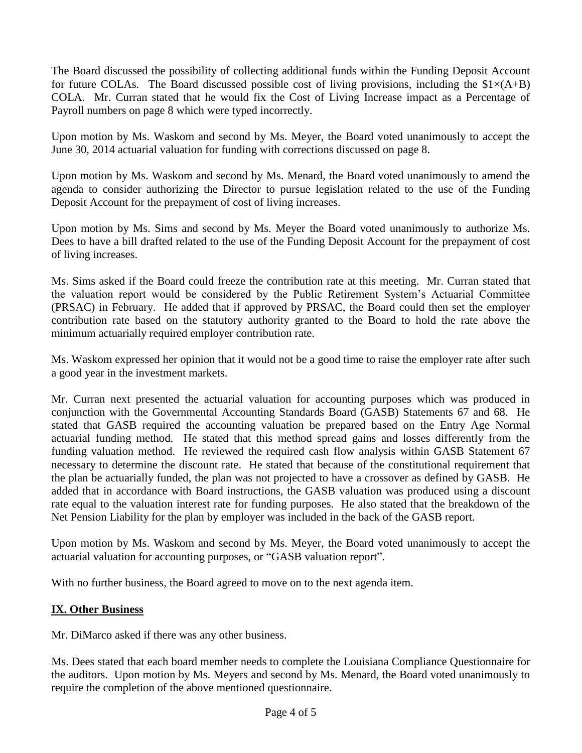The Board discussed the possibility of collecting additional funds within the Funding Deposit Account for future COLAs. The Board discussed possible cost of living provisions, including the  $$1\times(A+B)$ COLA. Mr. Curran stated that he would fix the Cost of Living Increase impact as a Percentage of Payroll numbers on page 8 which were typed incorrectly.

Upon motion by Ms. Waskom and second by Ms. Meyer, the Board voted unanimously to accept the June 30, 2014 actuarial valuation for funding with corrections discussed on page 8.

Upon motion by Ms. Waskom and second by Ms. Menard, the Board voted unanimously to amend the agenda to consider authorizing the Director to pursue legislation related to the use of the Funding Deposit Account for the prepayment of cost of living increases.

Upon motion by Ms. Sims and second by Ms. Meyer the Board voted unanimously to authorize Ms. Dees to have a bill drafted related to the use of the Funding Deposit Account for the prepayment of cost of living increases.

Ms. Sims asked if the Board could freeze the contribution rate at this meeting. Mr. Curran stated that the valuation report would be considered by the Public Retirement System's Actuarial Committee (PRSAC) in February. He added that if approved by PRSAC, the Board could then set the employer contribution rate based on the statutory authority granted to the Board to hold the rate above the minimum actuarially required employer contribution rate.

Ms. Waskom expressed her opinion that it would not be a good time to raise the employer rate after such a good year in the investment markets.

Mr. Curran next presented the actuarial valuation for accounting purposes which was produced in conjunction with the Governmental Accounting Standards Board (GASB) Statements 67 and 68. He stated that GASB required the accounting valuation be prepared based on the Entry Age Normal actuarial funding method. He stated that this method spread gains and losses differently from the funding valuation method. He reviewed the required cash flow analysis within GASB Statement 67 necessary to determine the discount rate. He stated that because of the constitutional requirement that the plan be actuarially funded, the plan was not projected to have a crossover as defined by GASB. He added that in accordance with Board instructions, the GASB valuation was produced using a discount rate equal to the valuation interest rate for funding purposes. He also stated that the breakdown of the Net Pension Liability for the plan by employer was included in the back of the GASB report.

Upon motion by Ms. Waskom and second by Ms. Meyer, the Board voted unanimously to accept the actuarial valuation for accounting purposes, or "GASB valuation report".

With no further business, the Board agreed to move on to the next agenda item.

## **IX. Other Business**

Mr. DiMarco asked if there was any other business.

Ms. Dees stated that each board member needs to complete the Louisiana Compliance Questionnaire for the auditors. Upon motion by Ms. Meyers and second by Ms. Menard, the Board voted unanimously to require the completion of the above mentioned questionnaire.